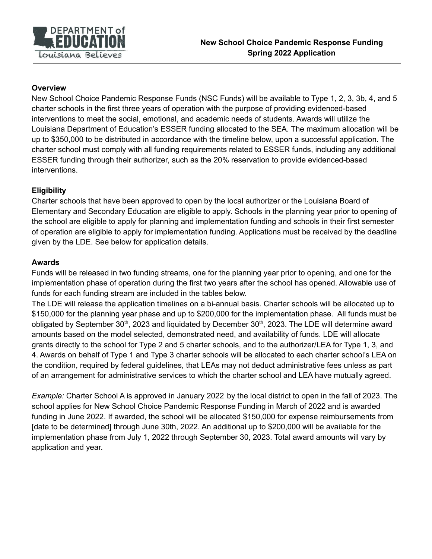

#### **Overview**

New School Choice Pandemic Response Funds (NSC Funds) will be available to Type 1, 2, 3, 3b, 4, and 5 charter schools in the first three years of operation with the purpose of providing evidenced-based interventions to meet the social, emotional, and academic needs of students. Awards will utilize the Louisiana Department of Education's ESSER funding allocated to the SEA. The maximum allocation will be up to \$350,000 to be distributed in accordance with the timeline below, upon a successful application. The charter school must comply with all funding requirements related to ESSER funds, including any additional ESSER funding through their authorizer, such as the 20% reservation to provide evidenced-based interventions.

## **Eligibility**

Charter schools that have been approved to open by the local authorizer or the Louisiana Board of Elementary and Secondary Education are eligible to apply. Schools in the planning year prior to opening of the school are eligible to apply for planning and implementation funding and schools in their first semester of operation are eligible to apply for implementation funding. Applications must be received by the deadline given by the LDE. See below for application details.

#### **Awards**

Funds will be released in two funding streams, one for the planning year prior to opening, and one for the implementation phase of operation during the first two years after the school has opened. Allowable use of funds for each funding stream are included in the tables below.

The LDE will release the application timelines on a bi-annual basis. Charter schools will be allocated up to \$150,000 for the planning year phase and up to \$200,000 for the implementation phase. All funds must be obligated by September 30<sup>th</sup>, 2023 and liquidated by December 30<sup>th</sup>, 2023. The LDE will determine award amounts based on the model selected, demonstrated need, and availability of funds. LDE will allocate grants directly to the school for Type 2 and 5 charter schools, and to the authorizer/LEA for Type 1, 3, and 4. Awards on behalf of Type 1 and Type 3 charter schools will be allocated to each charter school's LEA on the condition, required by federal guidelines, that LEAs may not deduct administrative fees unless as part of an arrangement for administrative services to which the charter school and LEA have mutually agreed.

*Example:* Charter School A is approved in January 2022 by the local district to open in the fall of 2023. The school applies for New School Choice Pandemic Response Funding in March of 2022 and is awarded funding in June 2022. If awarded, the school will be allocated \$150,000 for expense reimbursements from [date to be determined] through June 30th, 2022. An additional up to \$200,000 will be available for the implementation phase from July 1, 2022 through September 30, 2023. Total award amounts will vary by application and year.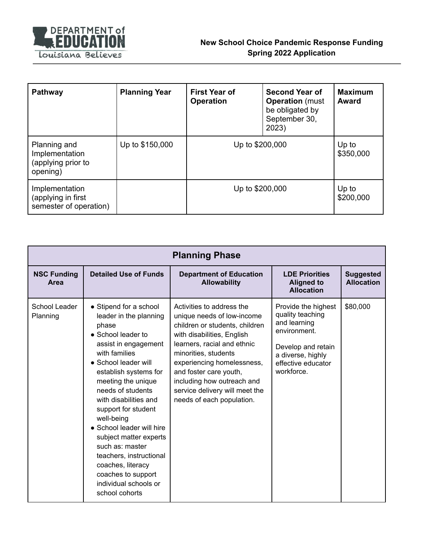

| <b>Pathway</b>                                                   | <b>Planning Year</b> | <b>First Year of</b><br><b>Operation</b> | <b>Second Year of</b><br><b>Operation</b> (must<br>be obligated by<br>September 30,<br>2023) | <b>Maximum</b><br><b>Award</b> |
|------------------------------------------------------------------|----------------------|------------------------------------------|----------------------------------------------------------------------------------------------|--------------------------------|
| Planning and<br>Implementation<br>(applying prior to<br>opening) | Up to \$150,000      | Up to \$200,000                          |                                                                                              | Up to<br>\$350,000             |
| Implementation<br>(applying in first<br>semester of operation)   |                      | Up to \$200,000                          |                                                                                              | Up to<br>\$200,000             |

| <b>Planning Phase</b>      |                                                                                                                                                                                                                                                                                                                                                                                                                                                                                       |                                                                                                                                                                                                                                                                                                                                     |                                                                                                                                                        |                                       |  |
|----------------------------|---------------------------------------------------------------------------------------------------------------------------------------------------------------------------------------------------------------------------------------------------------------------------------------------------------------------------------------------------------------------------------------------------------------------------------------------------------------------------------------|-------------------------------------------------------------------------------------------------------------------------------------------------------------------------------------------------------------------------------------------------------------------------------------------------------------------------------------|--------------------------------------------------------------------------------------------------------------------------------------------------------|---------------------------------------|--|
| <b>NSC Funding</b><br>Area | <b>Detailed Use of Funds</b>                                                                                                                                                                                                                                                                                                                                                                                                                                                          | <b>Department of Education</b><br><b>Allowability</b>                                                                                                                                                                                                                                                                               | <b>LDE Priorities</b><br><b>Aligned to</b><br><b>Allocation</b>                                                                                        | <b>Suggested</b><br><b>Allocation</b> |  |
| School Leader<br>Planning  | • Stipend for a school<br>leader in the planning<br>phase<br>$\bullet$ School leader to<br>assist in engagement<br>with families<br>• School leader will<br>establish systems for<br>meeting the unique<br>needs of students<br>with disabilities and<br>support for student<br>well-being<br>• School leader will hire<br>subject matter experts<br>such as: master<br>teachers, instructional<br>coaches, literacy<br>coaches to support<br>individual schools or<br>school cohorts | Activities to address the<br>unique needs of low-income<br>children or students, children<br>with disabilities, English<br>learners, racial and ethnic<br>minorities, students<br>experiencing homelessness,<br>and foster care youth,<br>including how outreach and<br>service delivery will meet the<br>needs of each population. | Provide the highest<br>quality teaching<br>and learning<br>environment.<br>Develop and retain<br>a diverse, highly<br>effective educator<br>workforce. | \$80,000                              |  |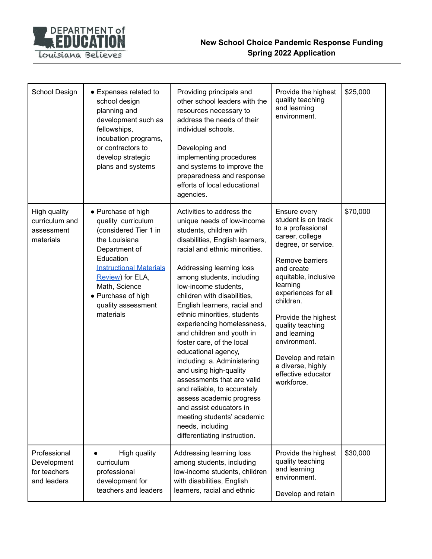

| School Design                                              | • Expenses related to<br>school design<br>planning and<br>development such as<br>fellowships,<br>incubation programs,<br>or contractors to<br>develop strategic<br>plans and systems                                                             | Providing principals and<br>other school leaders with the<br>resources necessary to<br>address the needs of their<br>individual schools.<br>Developing and<br>implementing procedures<br>and systems to improve the<br>preparedness and response<br>efforts of local educational<br>agencies.                                                                                                                                                                                                                                                                                                                                                                                                                       | Provide the highest<br>quality teaching<br>and learning<br>environment.                                                                                                                                                                                                                                                                                               | \$25,000 |
|------------------------------------------------------------|--------------------------------------------------------------------------------------------------------------------------------------------------------------------------------------------------------------------------------------------------|---------------------------------------------------------------------------------------------------------------------------------------------------------------------------------------------------------------------------------------------------------------------------------------------------------------------------------------------------------------------------------------------------------------------------------------------------------------------------------------------------------------------------------------------------------------------------------------------------------------------------------------------------------------------------------------------------------------------|-----------------------------------------------------------------------------------------------------------------------------------------------------------------------------------------------------------------------------------------------------------------------------------------------------------------------------------------------------------------------|----------|
| High quality<br>curriculum and<br>assessment<br>materials  | • Purchase of high<br>quality curriculum<br>(considered Tier 1 in<br>the Louisiana<br>Department of<br>Education<br><b>Instructional Materials</b><br>Review) for ELA,<br>Math, Science<br>• Purchase of high<br>quality assessment<br>materials | Activities to address the<br>unique needs of low-income<br>students, children with<br>disabilities, English learners,<br>racial and ethnic minorities.<br>Addressing learning loss<br>among students, including<br>low-income students,<br>children with disabilities,<br>English learners, racial and<br>ethnic minorities, students<br>experiencing homelessness,<br>and children and youth in<br>foster care, of the local<br>educational agency,<br>including: a. Administering<br>and using high-quality<br>assessments that are valid<br>and reliable, to accurately<br>assess academic progress<br>and assist educators in<br>meeting students' academic<br>needs, including<br>differentiating instruction. | Ensure every<br>student is on track<br>to a professional<br>career, college<br>degree, or service.<br>Remove barriers<br>and create<br>equitable, inclusive<br>learning<br>experiences for all<br>children.<br>Provide the highest<br>quality teaching<br>and learning<br>environment.<br>Develop and retain<br>a diverse, highly<br>effective educator<br>workforce. | \$70,000 |
| Professional<br>Development<br>for teachers<br>and leaders | High quality<br>curriculum<br>professional<br>development for<br>teachers and leaders                                                                                                                                                            | Addressing learning loss<br>among students, including<br>low-income students, children<br>with disabilities, English<br>learners, racial and ethnic                                                                                                                                                                                                                                                                                                                                                                                                                                                                                                                                                                 | Provide the highest<br>quality teaching<br>and learning<br>environment.<br>Develop and retain                                                                                                                                                                                                                                                                         | \$30,000 |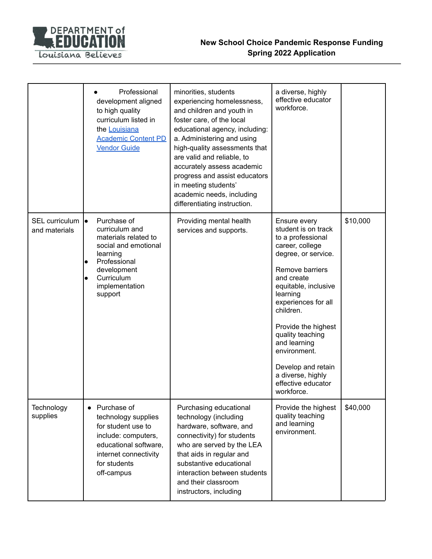

|                                    | Professional<br>development aligned<br>to high quality<br>curriculum listed in<br>the Louisiana<br><b>Academic Content PD</b><br><b>Vendor Guide</b>                             | minorities, students<br>experiencing homelessness,<br>and children and youth in<br>foster care, of the local<br>educational agency, including:<br>a. Administering and using<br>high-quality assessments that<br>are valid and reliable, to<br>accurately assess academic<br>progress and assist educators<br>in meeting students'<br>academic needs, including<br>differentiating instruction. | a diverse, highly<br>effective educator<br>workforce.                                                                                                                                                                                                                                                                                                                 |          |
|------------------------------------|----------------------------------------------------------------------------------------------------------------------------------------------------------------------------------|-------------------------------------------------------------------------------------------------------------------------------------------------------------------------------------------------------------------------------------------------------------------------------------------------------------------------------------------------------------------------------------------------|-----------------------------------------------------------------------------------------------------------------------------------------------------------------------------------------------------------------------------------------------------------------------------------------------------------------------------------------------------------------------|----------|
| SEL curriculum lo<br>and materials | Purchase of<br>curriculum and<br>materials related to<br>social and emotional<br>learning<br>Professional<br>$\bullet$<br>development<br>Curriculum<br>implementation<br>support | Providing mental health<br>services and supports.                                                                                                                                                                                                                                                                                                                                               | Ensure every<br>student is on track<br>to a professional<br>career, college<br>degree, or service.<br>Remove barriers<br>and create<br>equitable, inclusive<br>learning<br>experiences for all<br>children.<br>Provide the highest<br>quality teaching<br>and learning<br>environment.<br>Develop and retain<br>a diverse, highly<br>effective educator<br>workforce. | \$10,000 |
| Technology<br>supplies             | • Purchase of<br>technology supplies<br>for student use to<br>include: computers,<br>educational software,<br>internet connectivity<br>for students<br>off-campus                | Purchasing educational<br>technology (including<br>hardware, software, and<br>connectivity) for students<br>who are served by the LEA<br>that aids in regular and<br>substantive educational<br>interaction between students<br>and their classroom<br>instructors, including                                                                                                                   | Provide the highest<br>quality teaching<br>and learning<br>environment.                                                                                                                                                                                                                                                                                               | \$40,000 |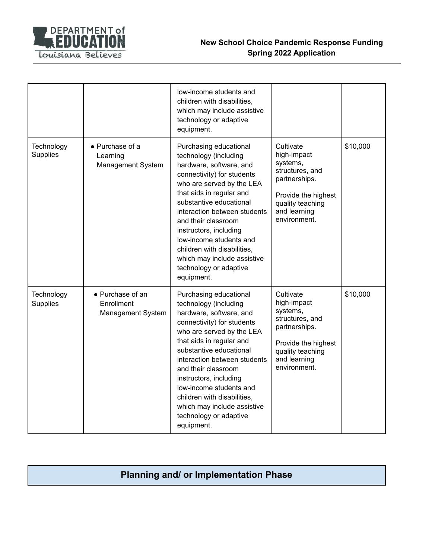

|                               |                                                     | low-income students and<br>children with disabilities,<br>which may include assistive<br>technology or adaptive<br>equipment.                                                                                                                                                                                                                                                                                  |                                                                                                                                                     |          |
|-------------------------------|-----------------------------------------------------|----------------------------------------------------------------------------------------------------------------------------------------------------------------------------------------------------------------------------------------------------------------------------------------------------------------------------------------------------------------------------------------------------------------|-----------------------------------------------------------------------------------------------------------------------------------------------------|----------|
| Technology<br>Supplies        | • Purchase of a<br>Learning<br>Management System    | Purchasing educational<br>technology (including<br>hardware, software, and<br>connectivity) for students<br>who are served by the LEA<br>that aids in regular and<br>substantive educational<br>interaction between students<br>and their classroom<br>instructors, including<br>low-income students and<br>children with disabilities,<br>which may include assistive<br>technology or adaptive<br>equipment. | Cultivate<br>high-impact<br>systems,<br>structures, and<br>partnerships.<br>Provide the highest<br>quality teaching<br>and learning<br>environment. | \$10,000 |
| Technology<br><b>Supplies</b> | • Purchase of an<br>Enrollment<br>Management System | Purchasing educational<br>technology (including<br>hardware, software, and<br>connectivity) for students<br>who are served by the LEA<br>that aids in regular and<br>substantive educational<br>interaction between students<br>and their classroom<br>instructors, including<br>low-income students and<br>children with disabilities,<br>which may include assistive<br>technology or adaptive<br>equipment. | Cultivate<br>high-impact<br>systems,<br>structures, and<br>partnerships.<br>Provide the highest<br>quality teaching<br>and learning<br>environment. | \$10,000 |

# **Planning and/ or Implementation Phase**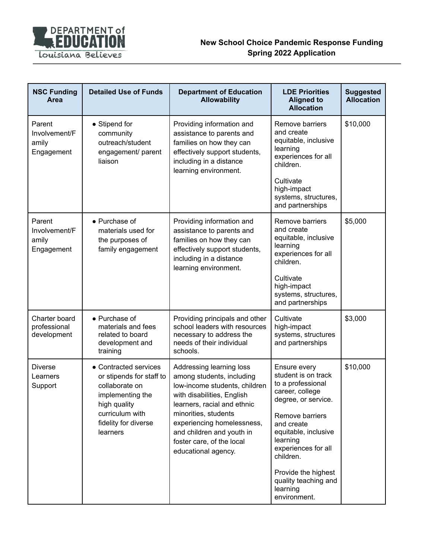

| <b>NSC Funding</b><br>Area                     | <b>Detailed Use of Funds</b>                                                                                                                                   | <b>Department of Education</b><br><b>Allowability</b>                                                                                                                                                                                                                                      | <b>LDE Priorities</b><br><b>Aligned to</b><br><b>Allocation</b>                                                                                                                                                                                                                        | <b>Suggested</b><br><b>Allocation</b> |
|------------------------------------------------|----------------------------------------------------------------------------------------------------------------------------------------------------------------|--------------------------------------------------------------------------------------------------------------------------------------------------------------------------------------------------------------------------------------------------------------------------------------------|----------------------------------------------------------------------------------------------------------------------------------------------------------------------------------------------------------------------------------------------------------------------------------------|---------------------------------------|
| Parent<br>Involvement/F<br>amily<br>Engagement | • Stipend for<br>community<br>outreach/student<br>engagement/ parent<br>liaison                                                                                | Providing information and<br>assistance to parents and<br>families on how they can<br>effectively support students,<br>including in a distance<br>learning environment.                                                                                                                    | Remove barriers<br>and create<br>equitable, inclusive<br>learning<br>experiences for all<br>children.<br>Cultivate<br>high-impact<br>systems, structures,<br>and partnerships                                                                                                          | \$10,000                              |
| Parent<br>Involvement/F<br>amily<br>Engagement | • Purchase of<br>materials used for<br>the purposes of<br>family engagement                                                                                    | Providing information and<br>assistance to parents and<br>families on how they can<br>effectively support students,<br>including in a distance<br>learning environment.                                                                                                                    | Remove barriers<br>and create<br>equitable, inclusive<br>learning<br>experiences for all<br>children.<br>Cultivate<br>high-impact<br>systems, structures,<br>and partnerships                                                                                                          | \$5,000                               |
| Charter board<br>professional<br>development   | • Purchase of<br>materials and fees<br>related to board<br>development and<br>training                                                                         | Providing principals and other<br>school leaders with resources<br>necessary to address the<br>needs of their individual<br>schools.                                                                                                                                                       | Cultivate<br>high-impact<br>systems, structures<br>and partnerships                                                                                                                                                                                                                    | \$3,000                               |
| <b>Diverse</b><br>Learners<br>Support          | • Contracted services<br>or stipends for staff to<br>collaborate on<br>implementing the<br>high quality<br>curriculum with<br>fidelity for diverse<br>learners | Addressing learning loss<br>among students, including<br>low-income students, children<br>with disabilities, English<br>learners, racial and ethnic<br>minorities, students<br>experiencing homelessness,<br>and children and youth in<br>foster care, of the local<br>educational agency. | Ensure every<br>student is on track<br>to a professional<br>career, college<br>degree, or service.<br>Remove barriers<br>and create<br>equitable, inclusive<br>learning<br>experiences for all<br>children.<br>Provide the highest<br>quality teaching and<br>learning<br>environment. | \$10,000                              |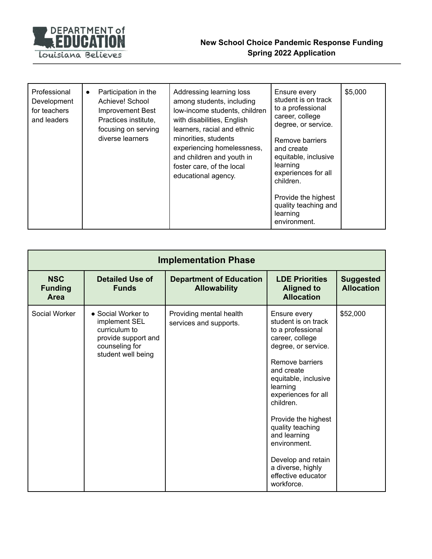

| Professional<br>Development<br>for teachers<br>and leaders | Participation in the<br>$\bullet$<br>Achieve! School<br>Improvement Best<br>Practices institute,<br>focusing on serving<br>diverse learners | Addressing learning loss<br>among students, including<br>low-income students, children<br>with disabilities, English<br>learners, racial and ethnic<br>minorities, students<br>experiencing homelessness,<br>and children and youth in<br>foster care, of the local<br>educational agency. | Ensure every<br>student is on track<br>to a professional<br>career, college<br>degree, or service.<br>Remove barriers<br>and create<br>equitable, inclusive<br>learning<br>experiences for all<br>children.<br>Provide the highest<br>quality teaching and<br>learning<br>environment. | \$5,000 |
|------------------------------------------------------------|---------------------------------------------------------------------------------------------------------------------------------------------|--------------------------------------------------------------------------------------------------------------------------------------------------------------------------------------------------------------------------------------------------------------------------------------------|----------------------------------------------------------------------------------------------------------------------------------------------------------------------------------------------------------------------------------------------------------------------------------------|---------|
|------------------------------------------------------------|---------------------------------------------------------------------------------------------------------------------------------------------|--------------------------------------------------------------------------------------------------------------------------------------------------------------------------------------------------------------------------------------------------------------------------------------------|----------------------------------------------------------------------------------------------------------------------------------------------------------------------------------------------------------------------------------------------------------------------------------------|---------|

| <b>Implementation Phase</b>                 |                                                                                                                     |                                                       |                                                                                                                                                                                                                                                                                                                                                                       |                                       |  |
|---------------------------------------------|---------------------------------------------------------------------------------------------------------------------|-------------------------------------------------------|-----------------------------------------------------------------------------------------------------------------------------------------------------------------------------------------------------------------------------------------------------------------------------------------------------------------------------------------------------------------------|---------------------------------------|--|
| <b>NSC</b><br><b>Funding</b><br><b>Area</b> | <b>Detailed Use of</b><br><b>Funds</b>                                                                              | <b>Department of Education</b><br><b>Allowability</b> | <b>LDE Priorities</b><br><b>Aligned to</b><br><b>Allocation</b>                                                                                                                                                                                                                                                                                                       | <b>Suggested</b><br><b>Allocation</b> |  |
| Social Worker                               | • Social Worker to<br>implement SEL<br>curriculum to<br>provide support and<br>counseling for<br>student well being | Providing mental health<br>services and supports.     | Ensure every<br>student is on track<br>to a professional<br>career, college<br>degree, or service.<br>Remove barriers<br>and create<br>equitable, inclusive<br>learning<br>experiences for all<br>children.<br>Provide the highest<br>quality teaching<br>and learning<br>environment.<br>Develop and retain<br>a diverse, highly<br>effective educator<br>workforce. | \$52,000                              |  |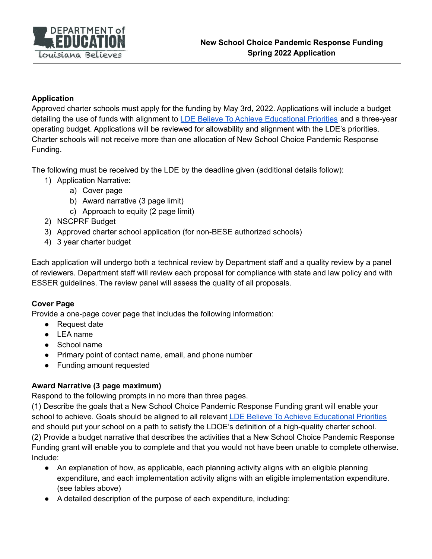

#### **Application**

Approved charter schools must apply for the funding by May 3rd, 2022. Applications will include a budget detailing the use of funds with alignment to LDE Believe To Achieve [Educational](https://louisianabelieves.com/docs/default-source/louisiana-believes/believe-to-achieve-educational-priorities.pdf?sfvrsn=50366618_8) Priorities and a three-year operating budget. Applications will be reviewed for allowability and alignment with the LDE's priorities. Charter schools will not receive more than one allocation of New School Choice Pandemic Response Funding.

The following must be received by the LDE by the deadline given (additional details follow):

- 1) Application Narrative:
	- a) Cover page
	- b) Award narrative (3 page limit)
	- c) Approach to equity (2 page limit)
- 2) NSCPRF Budget
- 3) Approved charter school application (for non-BESE authorized schools)
- 4) 3 year charter budget

Each application will undergo both a technical review by Department staff and a quality review by a panel of reviewers. Department staff will review each proposal for compliance with state and law policy and with ESSER guidelines. The review panel will assess the quality of all proposals.

#### **Cover Page**

Provide a one-page cover page that includes the following information:

- Request date
- LEA name
- School name
- Primary point of contact name, email, and phone number
- Funding amount requested

#### **Award Narrative (3 page maximum)**

Respond to the following prompts in no more than three pages.

(1) Describe the goals that a New School Choice Pandemic Response Funding grant will enable your school to achieve. Goals should be aligned to all relevant LDE Believe To Achieve [Educational](https://louisianabelieves.com/docs/default-source/louisiana-believes/believe-to-achieve-educational-priorities.pdf?sfvrsn=50366618_8) Priorities and should put your school on a path to satisfy the LDOE's definition of a high-quality charter school. (2) Provide a budget narrative that describes the activities that a New School Choice Pandemic Response Funding grant will enable you to complete and that you would not have been unable to complete otherwise. Include:

- An explanation of how, as applicable, each planning activity aligns with an eligible planning expenditure, and each implementation activity aligns with an eligible implementation expenditure. (see tables above)
- A detailed description of the purpose of each expenditure, including: